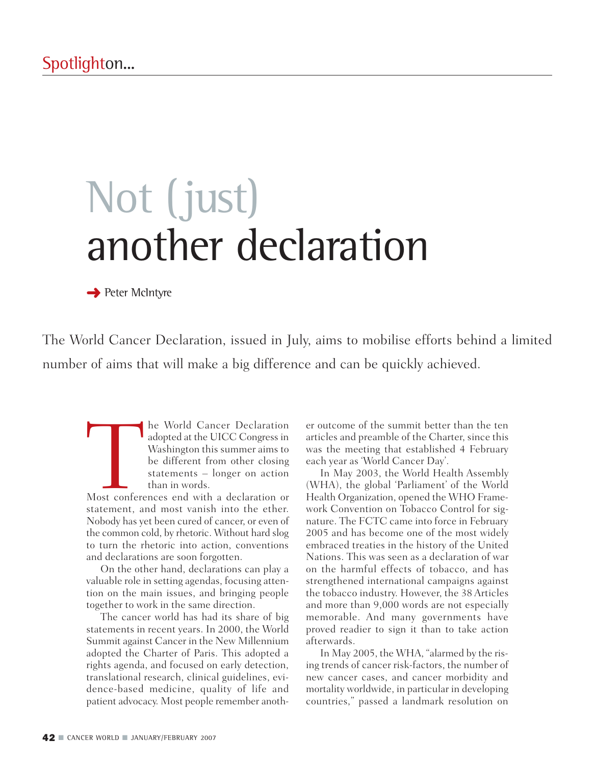# Not (just) another declaration

**→ Peter McIntyre** 

The World Cancer Declaration, issued in July, aims to mobilise efforts behind a limited number of aims that will make a big difference and can be quickly achieved.

The World Cancer Declaration<br>adopted at the UICC Congress in<br>Washington this summer aims to<br>be different from other closing<br>statements – longer on action<br>than in words.<br>Most conferences end with a declaration or<br>statement, adopted at the UICC Congress in Washington this summer aims to be different from other closing statements – longer on action than in words.

Most conferences end with a declaration or statement, and most vanish into the ether. Nobody has yet been cured of cancer, or even of the common cold, by rhetoric. Without hard slog to turn the rhetoric into action, conventions and declarations are soon forgotten.

On the other hand, declarations can play a valuable role in setting agendas, focusing attention on the main issues, and bringing people together to work in the same direction.

The cancer world has had its share of big statements in recent years. In 2000, the World Summit against Cancer in the New Millennium adopted the Charter of Paris. This adopted a rights agenda, and focused on early detection, translational research, clinical guidelines, evidence-based medicine, quality of life and patient advocacy. Most people remember another outcome of the summit better than the ten articles and preamble of the Charter, since this was the meeting that established 4 February each year as 'World Cancer Day'.

In May 2003, the World Health Assembly (WHA), the global 'Parliament' of the World Health Organization, opened the WHO Framework Convention on Tobacco Control for signature. The FCTC came into force in February 2005 and has become one of the most widely embraced treaties in the history of the United Nations. This was seen as a declaration of war on the harmful effects of tobacco, and has strengthened international campaigns against the tobacco industry. However, the 38 Articles and more than 9,000 words are not especially memorable. And many governments have proved readier to sign it than to take action afterwards.

In May 2005, the WHA, "alarmed by the rising trends of cancer risk-factors, the number of new cancer cases, and cancer morbidity and mortality worldwide, in particular in developing countries," passed a landmark resolution on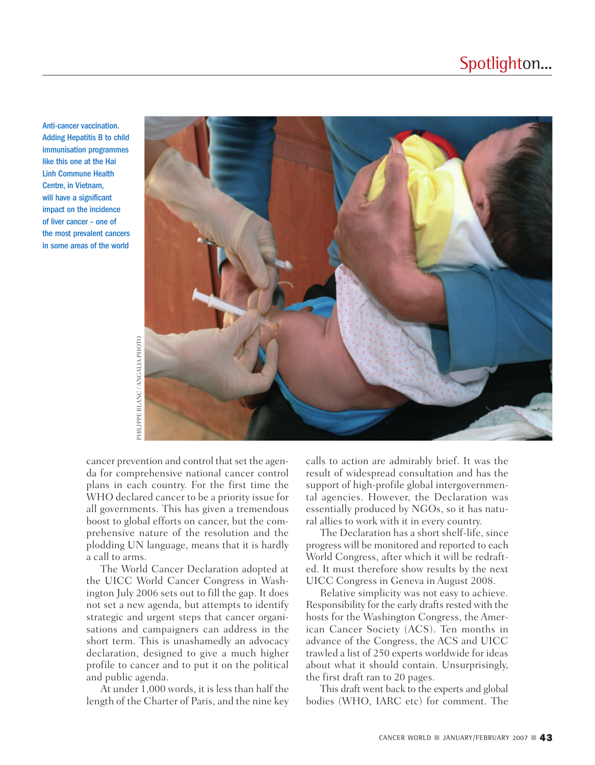### Spotlighton...

Anti-cancer vaccination. Adding Hepatitis B to child immunisation programmes like this one at the Hai Linh Commune Health Centre, in Vietnam, will have a significant impact on the incidence of liver cancer – one of the most prevalent cancers in some areas of the world



cancer prevention and control that set the agenda for comprehensive national cancer control plans in each country. For the first time the WHO declared cancer to be a priority issue for all governments. This has given a tremendous boost to global efforts on cancer, but the comprehensive nature of the resolution and the plodding UN language, means that it is hardly a call to arms.

The World Cancer Declaration adopted at the UICC World Cancer Congress in Washington July 2006 sets out to fill the gap. It does not set a new agenda, but attempts to identify strategic and urgent steps that cancer organisations and campaigners can address in the short term. This is unashamedly an advocacy declaration, designed to give a much higher profile to cancer and to put it on the political and public agenda.

At under 1,000 words, it is less than half the length of the Charter of Paris, and the nine key calls to action are admirably brief. It was the result of widespread consultation and has the support of high-profile global intergovernmental agencies. However, the Declaration was essentially produced by NGOs, so it has natural allies to work with it in every country.

The Declaration has a short shelf-life, since progress will be monitored and reported to each World Congress, after which it will be redrafted. It must therefore show results by the next UICC Congress in Geneva in August 2008.

Relative simplicity was not easy to achieve. Responsibility for the early drafts rested with the hosts for the Washington Congress, the American Cancer Society (ACS). Ten months in advance of the Congress, the ACS and UICC trawled a list of 250 experts worldwide for ideas about what it should contain. Unsurprisingly, the first draft ran to 20 pages.

This draft went back to the experts and global bodies (WHO, IARC etc) for comment. The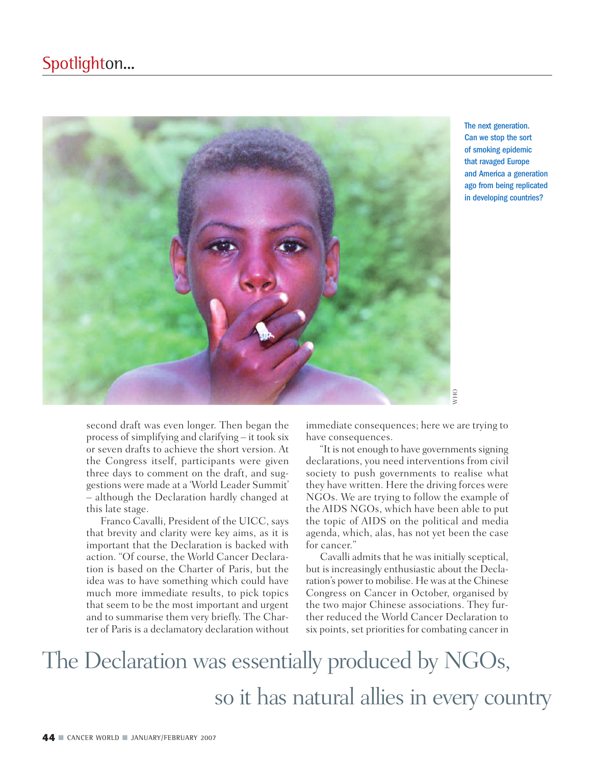

The next generation. Can we stop the sort of smoking epidemic that ravaged Europe and America a generation ago from being replicated in developing countries?

second draft was even longer. Then began the process of simplifying and clarifying – it took six or seven drafts to achieve the short version. At the Congress itself, participants were given three days to comment on the draft, and suggestions were made at a 'World Leader Summit' – although the Declaration hardly changed at this late stage.

Franco Cavalli, President of the UICC, says that brevity and clarity were key aims, as it is important that the Declaration is backed with action. "Of course, the World Cancer Declaration is based on the Charter of Paris, but the idea was to have something which could have much more immediate results, to pick topics that seem to be the most important and urgent and to summarise them very briefly. The Charter of Paris is a declamatory declaration without

immediate consequences; here we are trying to have consequences.

"It is not enough to have governments signing declarations, you need interventions from civil society to push governments to realise what they have written. Here the driving forces were NGOs. We are trying to follow the example of the AIDS NGOs, which have been able to put the topic of AIDS on the political and media agenda, which, alas, has not yet been the case for cancer."

Cavalli admits that he was initially sceptical, but is increasingly enthusiastic about the Declaration's power to mobilise. He was at the Chinese Congress on Cancer in October, organised by the two major Chinese associations. They further reduced the World Cancer Declaration to six points, set priorities for combating cancer in

## The Declaration was essentially produced by NGOs, so it has natural allies in every country